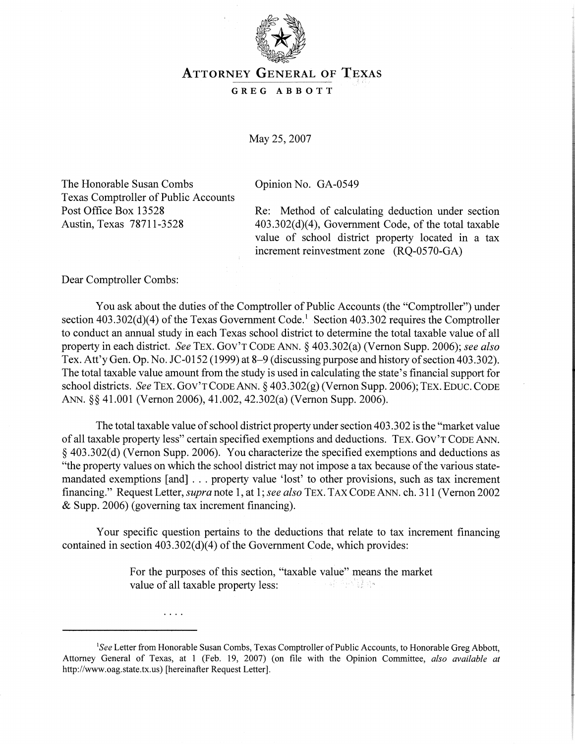

## **ATTORNEY GENERAL OF TEXAS**

**GREG ABBOTT** 

May 25,2007

The Honorable Susan Combs Copinion No. GA-0549 Texas Comptroller of Public Accounts

 $\cdots$ 

Post Office Box 13528 Re: Method of calculating deduction under section Austin, Texas 78711-3528 403.302(d)(4), Government Code, of the total taxable value of school district property located in a tax increment reinvestment zone (RQ-0570-GA)

Dear Comptroller Combs:

You ask about the duties of the Comptroller of Public Accounts (the "Comptroller") under section  $403.302(d)(4)$  of the Texas Government Code.<sup>1</sup> Section  $403.302$  requires the Comptroller to conduct an annual study in each Texas school district to determine the total taxable value of all property in each district. See TEX. GOV'T CODE ANN. 5 403.302(a) (Vernon Supp. 2006); *see also*  Tex. Att'y Gen. Op. No. JC-0152 (1999) at 8–9 (discussing purpose and history of section 403.302). The total taxable value amount from the study is used in calculating the state's financial support for school districts. See TEX. GOV'T CODE ANN. § 403.302(g) (Vernon Supp. 2006); TEX. EDUC. CODE ANN. *\$5* 41.001 (Vernon 2006), 41.002,42.302(a) (Vernon Supp. 2006).

The total taxable value of school district property under section 403.302 is the "market value of all taxable property less" certain specified exemptions and deductions. TEX. GOV'T CODE ANN. 5 403.302(d) (Vernon Supp. 2006). You characterize the specified exemptions and deductions as "the property values on which the school district may not impose a tax because of the various statemandated exemptions [and] . . . property value 'lost' to other provisions, such as tax increment financing." Request Letter, *supra* note 1, at 1; see also TEX. TAX CODE ANN. ch. 311 (Vernon 2002) & Supp. 2006) (governing tax increment financing).

Your specific question pertains to the deductions that relate to tax increment financing contained in section 403.302(d)(4) of the Government Code, which provides:

> For the purposes of this section, "taxable value" means the market value of all taxable property less: 너 그 국가 원수였습니다.

<sup>&</sup>lt;sup>1</sup>See Letter from Honorable Susan Combs, Texas Comptroller of Public Accounts, to Honorable Greg Abbott, Attorney General of Texas, at 1 (Feb. 19, 2007) (on file with the Opinion Committee, *also available at*  http://www.oag.state.tx.us) [hereinafter Request Letter].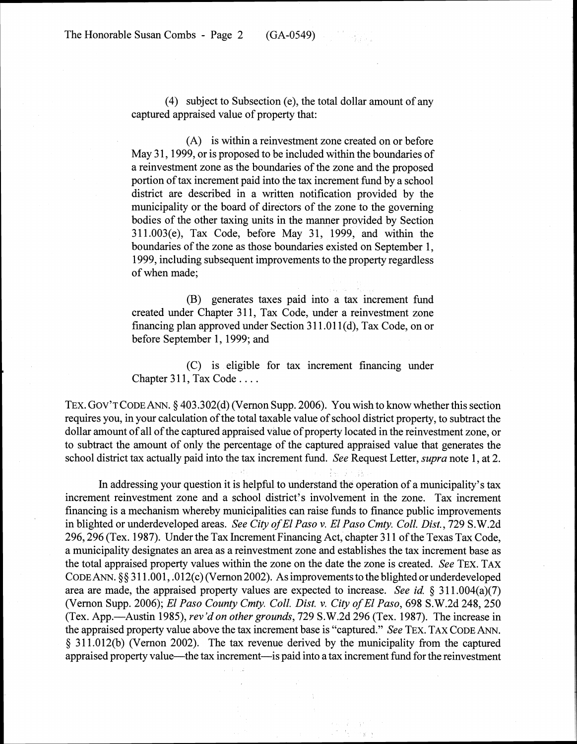(4) subject to Subsection (e), the total dollar amount of any captured appraised value of property that:

(A) is within a reinvestment zone created on or before May 31, 1999, or is proposed to be included within the boundaries of a reinvestment zone as the boundaries of the zone and the proposed portion of tax increment paid into the tax increment fund by a school district are described in a written notification provided by the municipality or the board of directors of the zone to the governing bodies of the other taxing units in the manner provided by Section 31 1.003(e), Tax Code, before May 31, 1999, and within the boundaries of the zone as those boundaries existed on September 1, 1999, including subsequent improvements to the property regardless of when made;

(B) generates taxes paid into a tax increment fund created under Chapter 311, Tax Code, under a reinvestment zone financing plan approved under Section 311.011(d), Tax Code, on or before September 1, 1999; and

(C) is eligible for tax increment financing under Chapter 311, Tax Code . . . .

TEX. GOV'TCODEANN. 5 403.302(d) (Vernon Supp. 2006). You wish to know whether this section requires you, in your calculation of the total taxable value of school district property, to subtract the dollar amount of all of the captured appraised value of property located in the reinvestment zone, or to subtract the amount of only the percentage of the captured appraised value that generates the school district tax actually paid into the tax increment fund. *See* Request Letter, *supra* note 1, at 2.

In addressing your question it is helpful to understand the operation of a municipality's tax increment reinvestment zone and a school district's involvement in the zone. Tax increment financing is a mechanism whereby municipalities can raise funds to finance public improvements in blighted or underdeveloped areas. *See City of El Paso v. El Paso Cmty. Coll. Dist.,* 729 S.W.2d 296,296 (Tex. 1987). Under the Tax Increment Financing Act, chapter 3 1 1 of the Texas Tax Code, a municipality designates an area as a reinvestment zone and establishes the tax increment base as the total appraised property values within the zone on the date the zone is created. *See* TEX. TAX CODE ANN.  $\S$ § 311.001, .012(c) (Vernon 2002). As improvements to the blighted or underdeveloped area are made, the appraised property values are expected to increase. *See id. 5 3* 11.004(a)(7) (Vernon Supp. 2006); *El Paso County Cmty. Coll. Dist.* **v.** *City of El Paso,* 698 S.W.2d 248, 250 (Tex. App.—Austin 1985), *rev'd on other grounds*, 729 S.W.2d 296 (Tex. 1987). The increase in the appraised property value above the tax increment base is "captured." *See* TEX. TAX CODE ANN. \$ 3 1 1.012(b) (Vernon 2002). The tax revenue derived by the municipality from the captured appraised property value—the tax increment—is paid into a tax increment fund for the reinvestment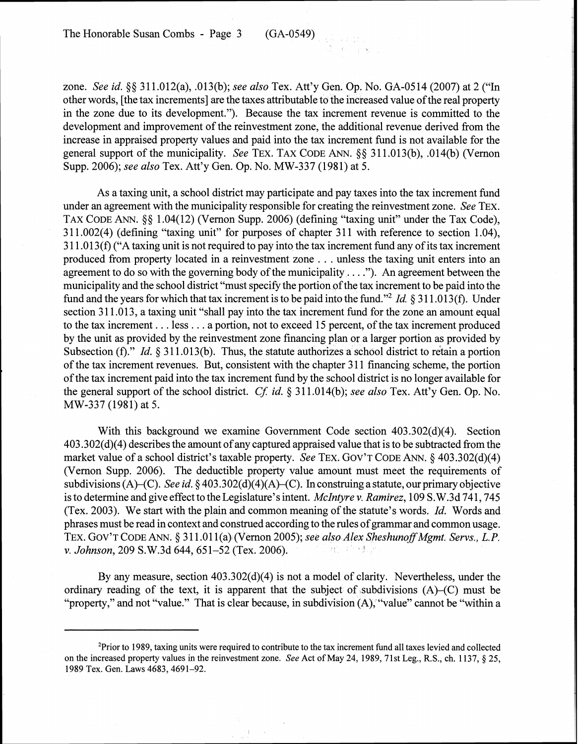The Honorable Susan Combs - Page 3 (GA-0549)

zone. *See* **id.** *\$5* 31 1.012(a), .013(b); *see also* Tex. Att'y Gen. Op. No. GA-0514 (2007) at 2 ("In other words, [the tax increments] are the taxes attributable to the increased value of the real property in the zone due to its development."). Because the tax increment revenue is committed to the development and improvement of the reinvestment zone, the additional revenue derived from the increase in appraised property values and paid into the tax increment fund is not available for the general support of the municipality. *See* TEX. TAX CODE ANN. *\$8* 3 1 1.0 13(b), .014(b) (Vernon Supp. 2006); *see also* Tex. Att'y Gen. Op. No. MW-337 (1981) at 5.

As a taxing unit, a school district may participate and pay taxes into the tax increment fund under an agreement with the municipality responsible for creating the reinvestment zone. *See* TEX. TAX CODE ANN. *\$8* 1.04(12) (Vernon Supp. 2006) (defining "taxing unit" under the Tax Code), 311.002(4) (defining "taxing unit" for purposes of chapter 311 with reference to section 1.04), 3 1 1.0 13(f) ("A taxing unit is not required to pay into the tax increment fund any of its tax increment produced from property located in a reinvestment zone . . . unless the taxing unit enters into an agreement to do so with the governing body of the municipality . . . ."). An agreement between the municipality and the school district "must specify the portion of the tax increment to be paid into the fund and the years for which that tax increment is to be paid into the fund."2 **Id.** *5* 3 1 1.0 13(f). Under section 311.013, a taxing unit "shall pay into the tax increment fund for the zone an amount equal to the tax increment . . . less . . . a portion, not to exceed 15 percent, of the tax increment produced by the unit as provided by the reinvestment zone financing plan or a larger portion as provided by Subsection (f)." *Id.* § 311.013(b). Thus, the statute authorizes a school district to retain a portion of the tax increment revenues. But, consistent with the chapter 3 11 financing scheme, the portion of the tax increment paid into the tax increment fund by the school district is no longer available for the general support of the school district. *CJ:* **id.** *5* 3 11.014(b); *see also* Tex. Att'y Gen. Op. No. MW-337 (1981) at 5.

With this background we examine Government Code section 403.302(d)(4). Section 403.302(d)(4) describes the amount of any captured appraised value that is to be subtracted from the market value of a school district's taxable property. *See* TEX. GOV'T CODE ANN. *5* 403.302(d)(4) (Vernon Supp. 2006). The deductible property value amount must meet the requirements of subdivisions (A)-(C). *See* **id.** *5* 403.302(d)(4)(A)-(C). In construing a statute, our primary objective is to determine and give effect to the Legislature's intent. *McIntyre v. Ramirez,* 109 S. W.3d 74 1,745 (Tex. 2003). We start with the plain and common meaning of the statute's words. **Id.** Words and phrases must be read in context and construed according to the rules of grammar and common usage. TEX. GOV'T CODE ANN. § 311.011(a) (Vernon 2005); *see also Alex Sheshunoff Mgmt. Servs., L.P. v. Johnson*, 209 S.W.3d 644, 651-52 (Tex. 2006). 2. 精力 药 残损的

By any measure, section 403.302(d)(4) is not a model of clarity. Nevertheless, under the ordinary reading of the text, it is apparent that the subject of subdivisions (A)-(C) must be "property," and not "value." That is clear because, in subdivision (A), "value" cannot be "within a

<sup>&#</sup>x27;Prior to 1989, taxing units were required to contribute to the tax increment find all taxes levied and collected on the increased property values in the reinvestment zone. *See* Act of May 24, 1989, 71st Leg., R.S., ch. 1137, § 25, 1989 Tex. Gen. Laws 4683,4691-92.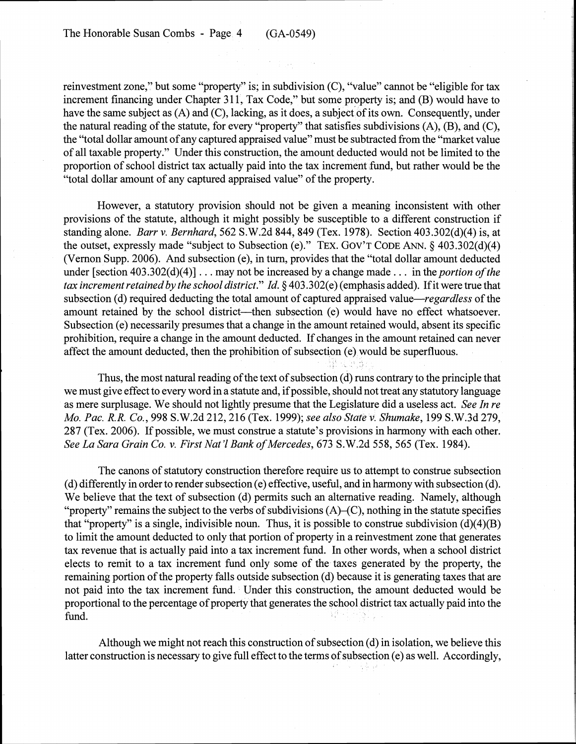reinvestment zone," but some "property" is; in subdivision (C), "value" cannot be "eligible for tax increment financing under Chapter 311, Tax Code," but some property is; and (B) would have to have the same subject as (A) and (C), lacking, as it does, a subject of its own. Consequently, under the natural reading of the statute, for every "property" that satisfies subdivisions (A), (B), and (C), the "total dollar amount of any captured appraised value" must be subtracted from the "market value of all taxable property." Under this construction, the amount deducted would not be limited to the proportion of school district tax actually paid into the tax increment fund, but rather would be the "total dollar amount of any captured appraised value" of the property.

However, a statutory provision should not be given a meaning inconsistent with other provisions of the statute, although it might possibly be susceptible to a different construction if standing alone. Barr v. Bernhard, 562 S.W.2d 844, 849 (Tex. 1978). Section 403.302(d)(4) is, at the outset, expressly made "subject to Subsection (e)." TEX. GOV'T CODE ANN. § 403.302(d)(4) (Vernon Supp. 2006). And subsection (e), in turn, provides that the "total dollar amount deducted under [section 403.302(d)(4)]  $\ldots$  may not be increased by a change made  $\ldots$  in the *portion of the* tax increment retained by the school district." Id. *5* 403.302(e) (emphasis added). If it were true that subsection (d) required deducting the total amount of captured appraised value—*regardless* of the amount retained by the school district—then subsection (e) would have no effect whatsoever. Subsection (e) necessarily presumes that a change in the amount retained would, absent its specific prohibition, require a change in the amount deducted. If changes in the amount retained can never affect the amount deducted, then the prohibition of subsection (e) would be superfluous.

Thus, the most natural reading of the text of subsection (d) runs contrary to the principle that we must give effect to every word in a statute and, if possible, should not treat any statutory language as mere surplusage. We should not lightly presume that the Legislature did a useless act. See In re Mo. Pac. R. R. Co., 998 S.W.2d 212,216 (Tex. 1999); see also State v. Shumake, 199 S.W.3d 279, 287 (Tex. 2006). If possible, we must construe a statute's provisions in harmony with each other. See La Sara Grain Co. v. First Nat'l Bank of Mercedes, 673 S.W.2d 558, 565 (Tex. 1984).

.

92 P. B.

The canons of statutory construction therefore require us to attempt to construe subsection (d) differently in order to render subsection (e) effective, useful, and in harmony with subsection (d). We believe that the text of subsection (d) permits such an alternative reading. Namely, although "property" remains the subject to the verbs of subdivisions  $(A)$ – $(C)$ , nothing in the statute specifies that "property" is a single, indivisible noun. Thus, it is possible to construe subdivision (d)(4)(B) to limit the amount deducted to only that portion of property in a reinvestment zone that generates tax revenue that is actually paid into a tax increment fund. In other words, when a school district elects to remit to a tax increment fund only some of the taxes generated by the property, the remaining portion of the property falls outside subsection (d) because it is generating taxes that are not paid into the tax increment fund. Under this construction, the amount deducted would be proportional to the percentage of property that generates the school district tax actually paid into the fund. 들하다

Although we might not reach this construction of subsection (d) in isolation, we believe this latter construction is necessary to give full effect to the terms of subsection (e) as well. Accordingly,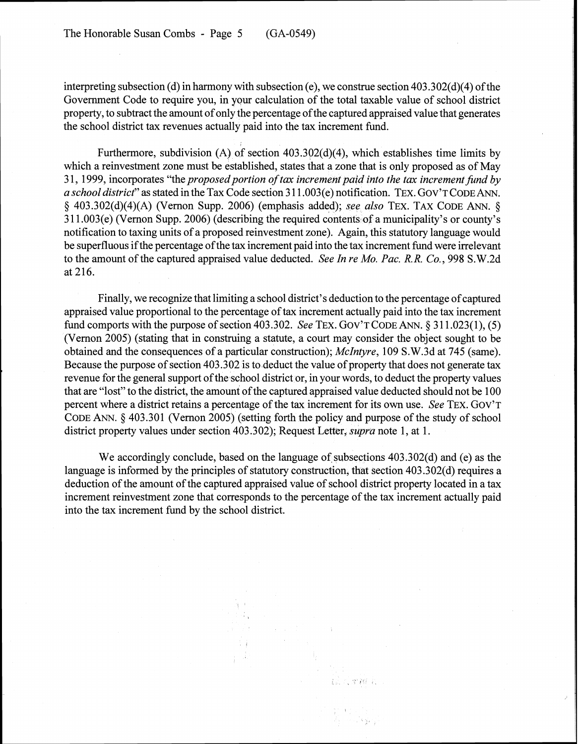interpreting subsection (d) in harmony with subsection (e), we construe section 403.302(d)(4) of the Government Code to require you, in your calculation of the total taxable value of school district property, to subtract the amount of only the percentage of the captured appraised value that generates the school district tax revenues actually paid into the tax increment fund.

Furthermore, subdivision (A) of section 403.302(d)(4), which establishes time limits by which a reinvestment zone must be established, states that a zone that is only proposed as of May 31, 1999, incorporates "the *proposed portion of tax increment paid into the tax increment fund by a school district"* as stated in the Tax Code section 3 1 1.003(e) notification. TEX. GOV'T CODE ANN. **9** 403.302(d)(4)(A) (Vernon Supp. 2006) (emphasis added); *see also* TEX. TAX CODE ANN. *5*  3 1 1.003(e) (Vernon Supp. 2006) (describing the required contents of a municipality's or county's notification to taxing units of a proposed reinvestment zone). Again, this statutory language would be superfluous if the percentage of the tax increment paid into the tax increment fund were irrelevant to the amount of the captured appraised value deducted. *See In re Mo. Pac. R. R. Co.,* 998 S.W.2d at 216.

Finally, we recognize that limiting a school district's deduction to the percentage of captured appraised value proportional to the percentage of tax increment actually paid into the tax increment fund comports with the purpose of section 403.302. *See* TEX. GOV'T CODE ANN. *5* 3 1 1.023(1), (5) (Vernon 2005) (stating that in construing a statute, a court may consider the object sought to be obtained and the consequences of a particular construction); *McIntyre,* 109 S.W.3d at 745 (same). Because the purpose of section 403.302 is to deduct the value of property that does not generate tax revenue for the general support of the school district or, in your words, to deduct the property values that are "lost" to the district, the amount of the captured appraised value deducted should not be 100 percent where a district retains a percentage of the tax increment for its own use. *See* TEX. GOV'T CODE ANN. **5** 403.301 (Vernon 2005) (setting forth the policy and purpose of the study of school district property values under section 403.302); Request Letter, *supra* note 1, at 1.

We accordingly conclude, based on the language of subsections 403.302(d) and (e) as the language is informed by the principles of statutory construction, that section 403.302(d) requires a deduction of the amount of the captured appraised value of school district property located in a tax increment reinvestment zone that corresponds to the percentage of the tax increment actually paid into the tax increment fund by the school district.

> $\mathcal{F}^{\mathcal{G}}_{\mathcal{G}}$  , where  $\mathcal{G}^{\mathcal{G}}_{\mathcal{G}}$  and  $\mathcal{G}^{\mathcal{G}}_{\mathcal{G}}$

> > **CONTRACTOR**

s Pages,